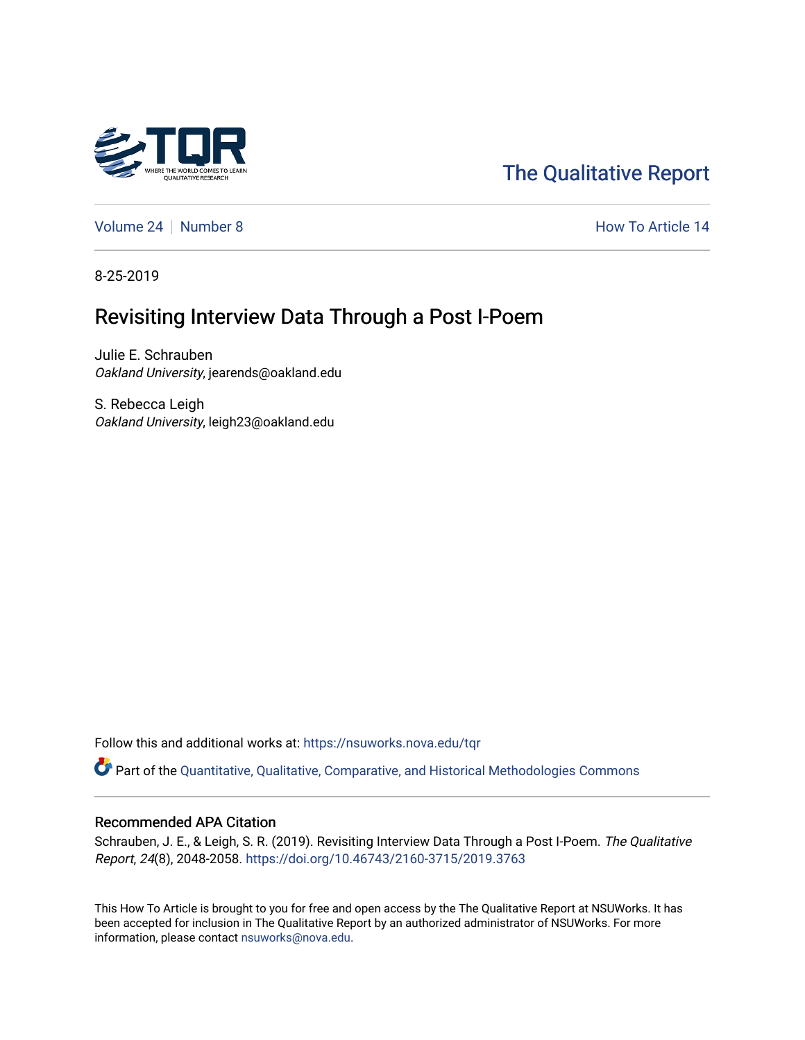

# [The Qualitative Report](https://nsuworks.nova.edu/tqr)

[Volume 24](https://nsuworks.nova.edu/tqr/vol24) | [Number 8](https://nsuworks.nova.edu/tqr/vol24/iss8) How To Article 14

8-25-2019

# Revisiting Interview Data Through a Post I-Poem

Julie E. Schrauben Oakland University, jearends@oakland.edu

S. Rebecca Leigh Oakland University, leigh23@oakland.edu

Follow this and additional works at: [https://nsuworks.nova.edu/tqr](https://nsuworks.nova.edu/tqr?utm_source=nsuworks.nova.edu%2Ftqr%2Fvol24%2Fiss8%2F14&utm_medium=PDF&utm_campaign=PDFCoverPages) 

Part of the [Quantitative, Qualitative, Comparative, and Historical Methodologies Commons](http://network.bepress.com/hgg/discipline/423?utm_source=nsuworks.nova.edu%2Ftqr%2Fvol24%2Fiss8%2F14&utm_medium=PDF&utm_campaign=PDFCoverPages) 

### Recommended APA Citation

Schrauben, J. E., & Leigh, S. R. (2019). Revisiting Interview Data Through a Post I-Poem. The Qualitative Report, 24(8), 2048-2058. <https://doi.org/10.46743/2160-3715/2019.3763>

This How To Article is brought to you for free and open access by the The Qualitative Report at NSUWorks. It has been accepted for inclusion in The Qualitative Report by an authorized administrator of NSUWorks. For more information, please contact [nsuworks@nova.edu.](mailto:nsuworks@nova.edu)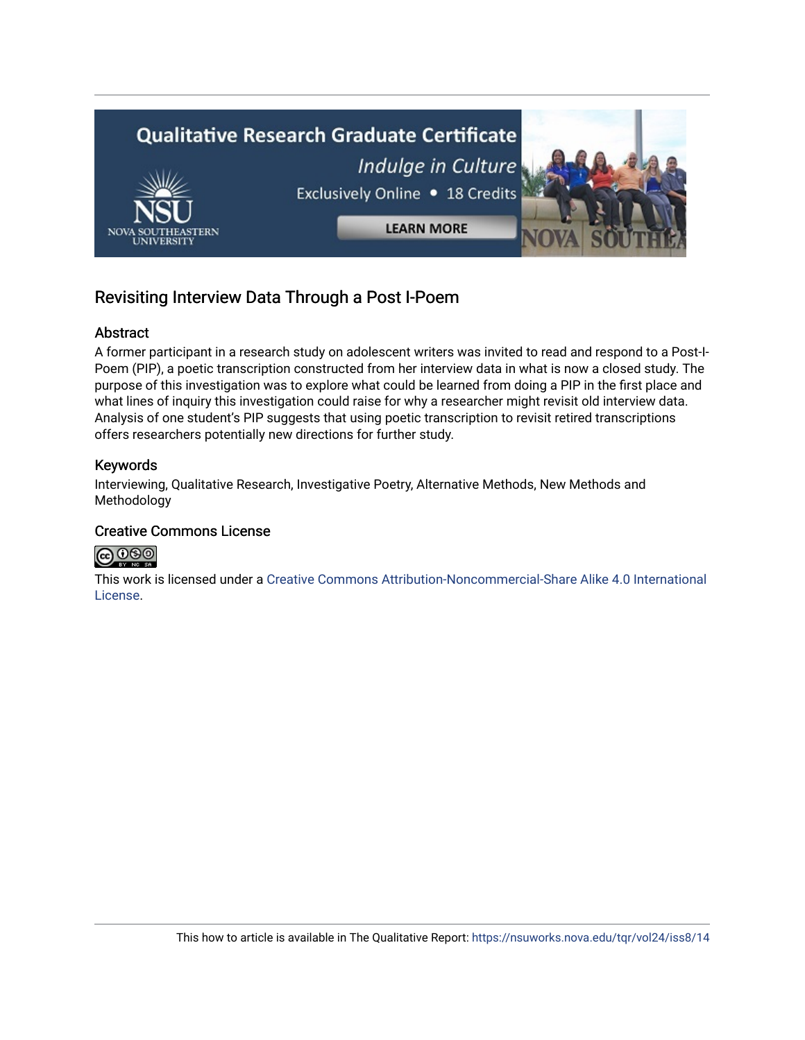

## Revisiting Interview Data Through a Post I-Poem

## Abstract

A former participant in a research study on adolescent writers was invited to read and respond to a Post-I-Poem (PIP), a poetic transcription constructed from her interview data in what is now a closed study. The purpose of this investigation was to explore what could be learned from doing a PIP in the first place and what lines of inquiry this investigation could raise for why a researcher might revisit old interview data. Analysis of one student's PIP suggests that using poetic transcription to revisit retired transcriptions offers researchers potentially new directions for further study.

## Keywords

Interviewing, Qualitative Research, Investigative Poetry, Alternative Methods, New Methods and Methodology

## Creative Commons License



This work is licensed under a [Creative Commons Attribution-Noncommercial-Share Alike 4.0 International](https://creativecommons.org/licenses/by-nc-sa/4.0/)  [License](https://creativecommons.org/licenses/by-nc-sa/4.0/).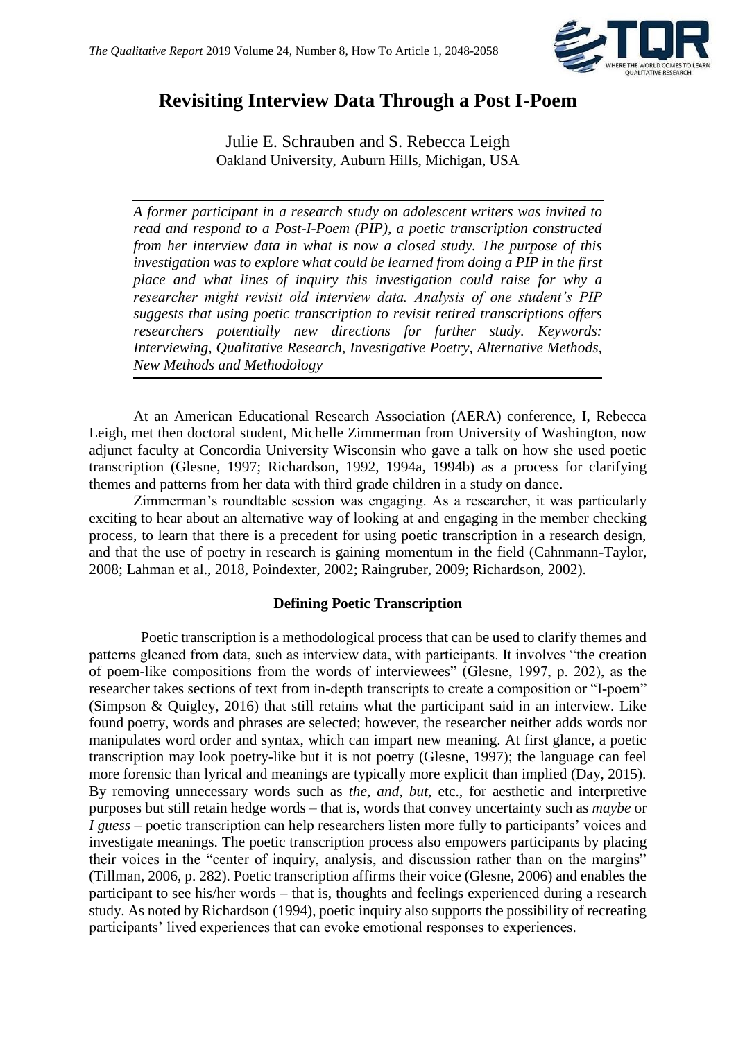

## **Revisiting Interview Data Through a Post I-Poem**

Julie E. Schrauben and S. Rebecca Leigh Oakland University, Auburn Hills, Michigan, USA

*A former participant in a research study on adolescent writers was invited to read and respond to a Post-I-Poem (PIP), a poetic transcription constructed from her interview data in what is now a closed study. The purpose of this investigation was to explore what could be learned from doing a PIP in the first place and what lines of inquiry this investigation could raise for why a researcher might revisit old interview data. Analysis of one student's PIP suggests that using poetic transcription to revisit retired transcriptions offers researchers potentially new directions for further study. Keywords: Interviewing, Qualitative Research, Investigative Poetry, Alternative Methods, New Methods and Methodology*

At an American Educational Research Association (AERA) conference, I, Rebecca Leigh, met then doctoral student, Michelle Zimmerman from University of Washington, now adjunct faculty at Concordia University Wisconsin who gave a talk on how she used poetic transcription (Glesne, 1997; Richardson, 1992, 1994a, 1994b) as a process for clarifying themes and patterns from her data with third grade children in a study on dance.

Zimmerman's roundtable session was engaging. As a researcher, it was particularly exciting to hear about an alternative way of looking at and engaging in the member checking process, to learn that there is a precedent for using poetic transcription in a research design, and that the use of poetry in research is gaining momentum in the field (Cahnmann-Taylor, 2008; Lahman et al., 2018, Poindexter, 2002; Raingruber, 2009; Richardson, 2002).

## **Defining Poetic Transcription**

Poetic transcription is a methodological process that can be used to clarify themes and patterns gleaned from data, such as interview data, with participants. It involves "the creation of poem-like compositions from the words of interviewees" (Glesne, 1997, p. 202), as the researcher takes sections of text from in-depth transcripts to create a composition or "I-poem" (Simpson & Quigley, 2016) that still retains what the participant said in an interview. Like found poetry, words and phrases are selected; however, the researcher neither adds words nor manipulates word order and syntax, which can impart new meaning. At first glance, a poetic transcription may look poetry-like but it is not poetry (Glesne, 1997); the language can feel more forensic than lyrical and meanings are typically more explicit than implied (Day, 2015). By removing unnecessary words such as *the, and, but,* etc., for aesthetic and interpretive purposes but still retain hedge words – that is, words that convey uncertainty such as *maybe* or *I guess* – poetic transcription can help researchers listen more fully to participants' voices and investigate meanings. The poetic transcription process also empowers participants by placing their voices in the "center of inquiry, analysis, and discussion rather than on the margins" (Tillman, 2006, p. 282). Poetic transcription affirms their voice (Glesne, 2006) and enables the participant to see his/her words – that is, thoughts and feelings experienced during a research study. As noted by Richardson (1994), poetic inquiry also supports the possibility of recreating participants' lived experiences that can evoke emotional responses to experiences.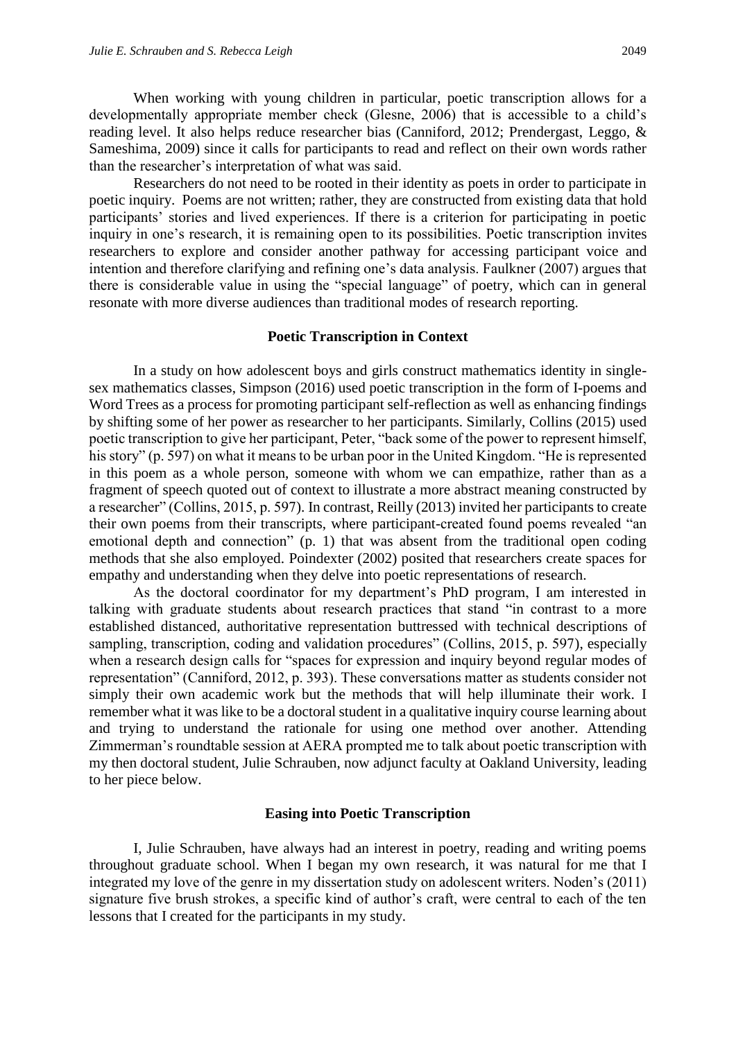When working with young children in particular, poetic transcription allows for a developmentally appropriate member check (Glesne, 2006) that is accessible to a child's reading level. It also helps reduce researcher bias (Canniford, 2012; Prendergast, Leggo, & Sameshima, 2009) since it calls for participants to read and reflect on their own words rather than the researcher's interpretation of what was said.

Researchers do not need to be rooted in their identity as poets in order to participate in poetic inquiry. Poems are not written; rather, they are constructed from existing data that hold participants' stories and lived experiences. If there is a criterion for participating in poetic inquiry in one's research, it is remaining open to its possibilities. Poetic transcription invites researchers to explore and consider another pathway for accessing participant voice and intention and therefore clarifying and refining one's data analysis. Faulkner (2007) argues that there is considerable value in using the "special language" of poetry, which can in general resonate with more diverse audiences than traditional modes of research reporting.

#### **Poetic Transcription in Context**

In a study on how adolescent boys and girls construct mathematics identity in singlesex mathematics classes, Simpson (2016) used poetic transcription in the form of I-poems and Word Trees as a process for promoting participant self-reflection as well as enhancing findings by shifting some of her power as researcher to her participants. Similarly, Collins (2015) used poetic transcription to give her participant, Peter, "back some of the power to represent himself, his story" (p. 597) on what it means to be urban poor in the United Kingdom. "He is represented in this poem as a whole person, someone with whom we can empathize, rather than as a fragment of speech quoted out of context to illustrate a more abstract meaning constructed by a researcher" (Collins, 2015, p. 597). In contrast, Reilly (2013) invited her participants to create their own poems from their transcripts, where participant-created found poems revealed "an emotional depth and connection" (p. 1) that was absent from the traditional open coding methods that she also employed. Poindexter (2002) posited that researchers create spaces for empathy and understanding when they delve into poetic representations of research.

As the doctoral coordinator for my department's PhD program, I am interested in talking with graduate students about research practices that stand "in contrast to a more established distanced, authoritative representation buttressed with technical descriptions of sampling, transcription, coding and validation procedures" (Collins, 2015, p. 597), especially when a research design calls for "spaces for expression and inquiry beyond regular modes of representation" (Canniford, 2012, p. 393). These conversations matter as students consider not simply their own academic work but the methods that will help illuminate their work. I remember what it was like to be a doctoral student in a qualitative inquiry course learning about and trying to understand the rationale for using one method over another. Attending Zimmerman's roundtable session at AERA prompted me to talk about poetic transcription with my then doctoral student, Julie Schrauben, now adjunct faculty at Oakland University, leading to her piece below.

#### **Easing into Poetic Transcription**

I, Julie Schrauben, have always had an interest in poetry, reading and writing poems throughout graduate school. When I began my own research, it was natural for me that I integrated my love of the genre in my dissertation study on adolescent writers. Noden's (2011) signature five brush strokes, a specific kind of author's craft, were central to each of the ten lessons that I created for the participants in my study.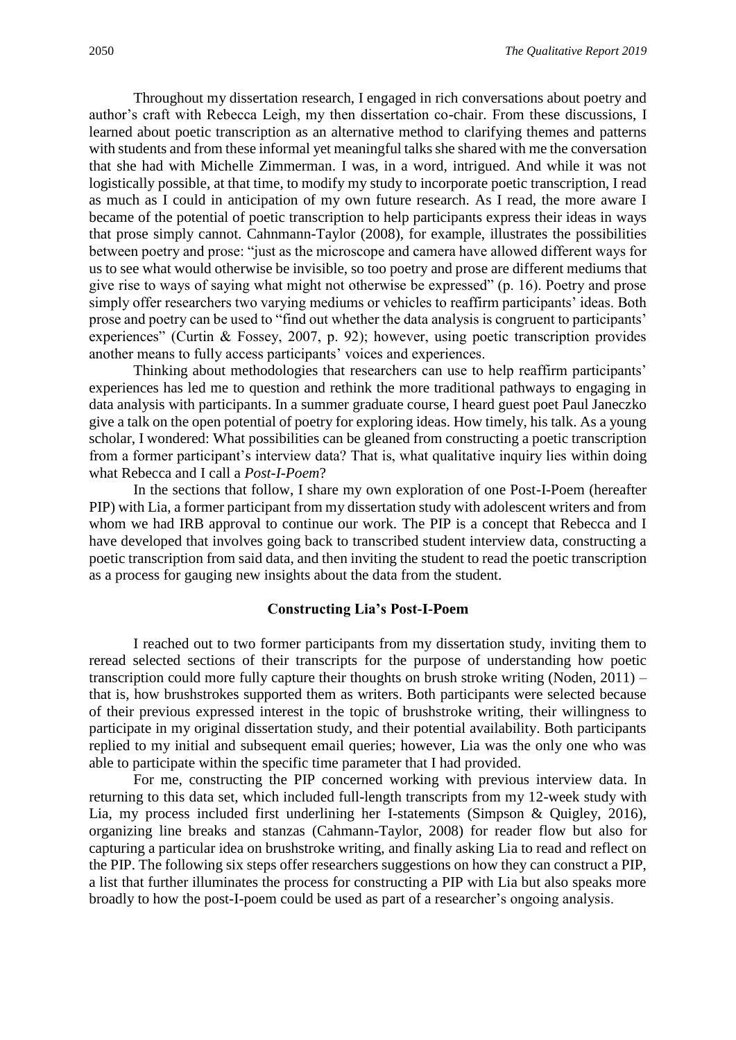Throughout my dissertation research, I engaged in rich conversations about poetry and author's craft with Rebecca Leigh, my then dissertation co-chair. From these discussions, I learned about poetic transcription as an alternative method to clarifying themes and patterns with students and from these informal yet meaningful talks she shared with me the conversation that she had with Michelle Zimmerman. I was, in a word, intrigued. And while it was not logistically possible, at that time, to modify my study to incorporate poetic transcription, I read as much as I could in anticipation of my own future research. As I read, the more aware I became of the potential of poetic transcription to help participants express their ideas in ways that prose simply cannot. Cahnmann-Taylor (2008), for example, illustrates the possibilities between poetry and prose: "just as the microscope and camera have allowed different ways for us to see what would otherwise be invisible, so too poetry and prose are different mediums that give rise to ways of saying what might not otherwise be expressed" (p. 16). Poetry and prose simply offer researchers two varying mediums or vehicles to reaffirm participants' ideas. Both prose and poetry can be used to "find out whether the data analysis is congruent to participants' experiences" (Curtin & Fossey, 2007, p. 92); however, using poetic transcription provides another means to fully access participants' voices and experiences.

Thinking about methodologies that researchers can use to help reaffirm participants' experiences has led me to question and rethink the more traditional pathways to engaging in data analysis with participants. In a summer graduate course, I heard guest poet Paul Janeczko give a talk on the open potential of poetry for exploring ideas. How timely, his talk. As a young scholar, I wondered: What possibilities can be gleaned from constructing a poetic transcription from a former participant's interview data? That is, what qualitative inquiry lies within doing what Rebecca and I call a *Post-I-Poem*?

In the sections that follow, I share my own exploration of one Post-I-Poem (hereafter PIP) with Lia, a former participant from my dissertation study with adolescent writers and from whom we had IRB approval to continue our work. The PIP is a concept that Rebecca and I have developed that involves going back to transcribed student interview data, constructing a poetic transcription from said data, and then inviting the student to read the poetic transcription as a process for gauging new insights about the data from the student.

#### **Constructing Lia's Post-I-Poem**

I reached out to two former participants from my dissertation study, inviting them to reread selected sections of their transcripts for the purpose of understanding how poetic transcription could more fully capture their thoughts on brush stroke writing (Noden, 2011) – that is, how brushstrokes supported them as writers. Both participants were selected because of their previous expressed interest in the topic of brushstroke writing, their willingness to participate in my original dissertation study, and their potential availability. Both participants replied to my initial and subsequent email queries; however, Lia was the only one who was able to participate within the specific time parameter that I had provided.

For me, constructing the PIP concerned working with previous interview data. In returning to this data set, which included full-length transcripts from my 12-week study with Lia, my process included first underlining her I-statements (Simpson & Quigley, 2016), organizing line breaks and stanzas (Cahmann-Taylor, 2008) for reader flow but also for capturing a particular idea on brushstroke writing, and finally asking Lia to read and reflect on the PIP. The following six steps offer researchers suggestions on how they can construct a PIP, a list that further illuminates the process for constructing a PIP with Lia but also speaks more broadly to how the post-I-poem could be used as part of a researcher's ongoing analysis.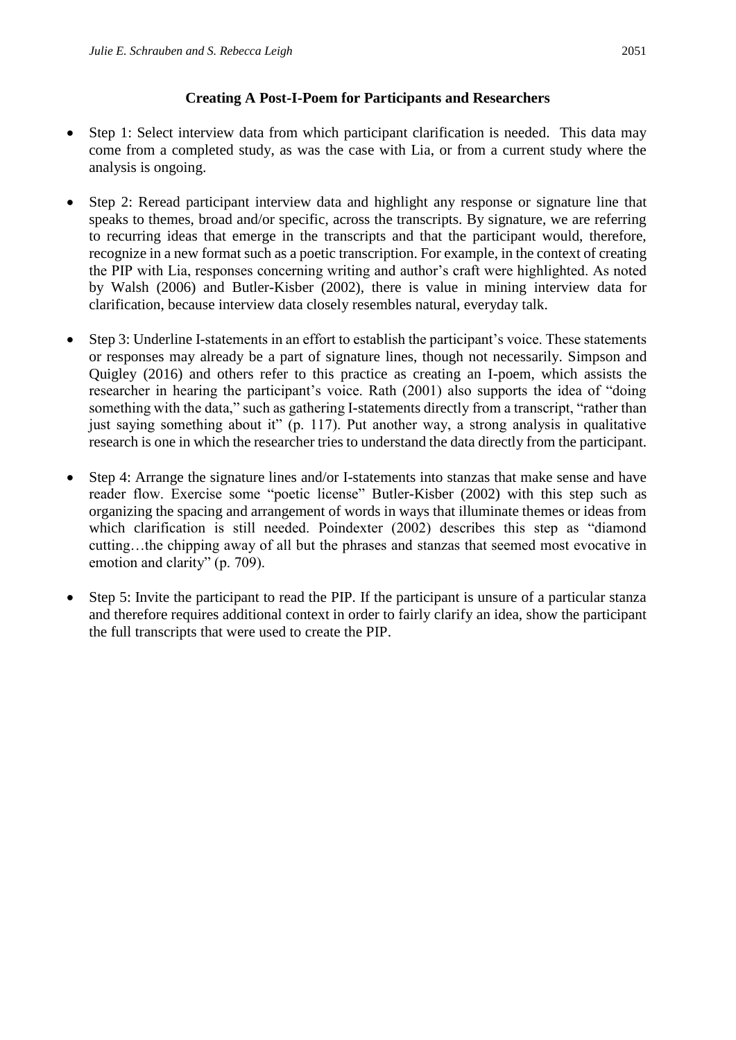## **Creating A Post-I-Poem for Participants and Researchers**

- Step 1: Select interview data from which participant clarification is needed. This data may come from a completed study, as was the case with Lia, or from a current study where the analysis is ongoing.
- Step 2: Reread participant interview data and highlight any response or signature line that speaks to themes, broad and/or specific, across the transcripts. By signature, we are referring to recurring ideas that emerge in the transcripts and that the participant would, therefore, recognize in a new format such as a poetic transcription. For example, in the context of creating the PIP with Lia, responses concerning writing and author's craft were highlighted. As noted by Walsh (2006) and Butler-Kisber (2002), there is value in mining interview data for clarification, because interview data closely resembles natural, everyday talk.
- Step 3: Underline I-statements in an effort to establish the participant's voice. These statements or responses may already be a part of signature lines, though not necessarily. Simpson and Quigley (2016) and others refer to this practice as creating an I-poem, which assists the researcher in hearing the participant's voice. Rath (2001) also supports the idea of "doing something with the data," such as gathering I-statements directly from a transcript, "rather than just saying something about it" (p. 117). Put another way, a strong analysis in qualitative research is one in which the researcher tries to understand the data directly from the participant.
- Step 4: Arrange the signature lines and/or I-statements into stanzas that make sense and have reader flow. Exercise some "poetic license" Butler-Kisber (2002) with this step such as organizing the spacing and arrangement of words in ways that illuminate themes or ideas from which clarification is still needed. Poindexter (2002) describes this step as "diamond cutting…the chipping away of all but the phrases and stanzas that seemed most evocative in emotion and clarity" (p. 709).
- Step 5: Invite the participant to read the PIP. If the participant is unsure of a particular stanza and therefore requires additional context in order to fairly clarify an idea, show the participant the full transcripts that were used to create the PIP.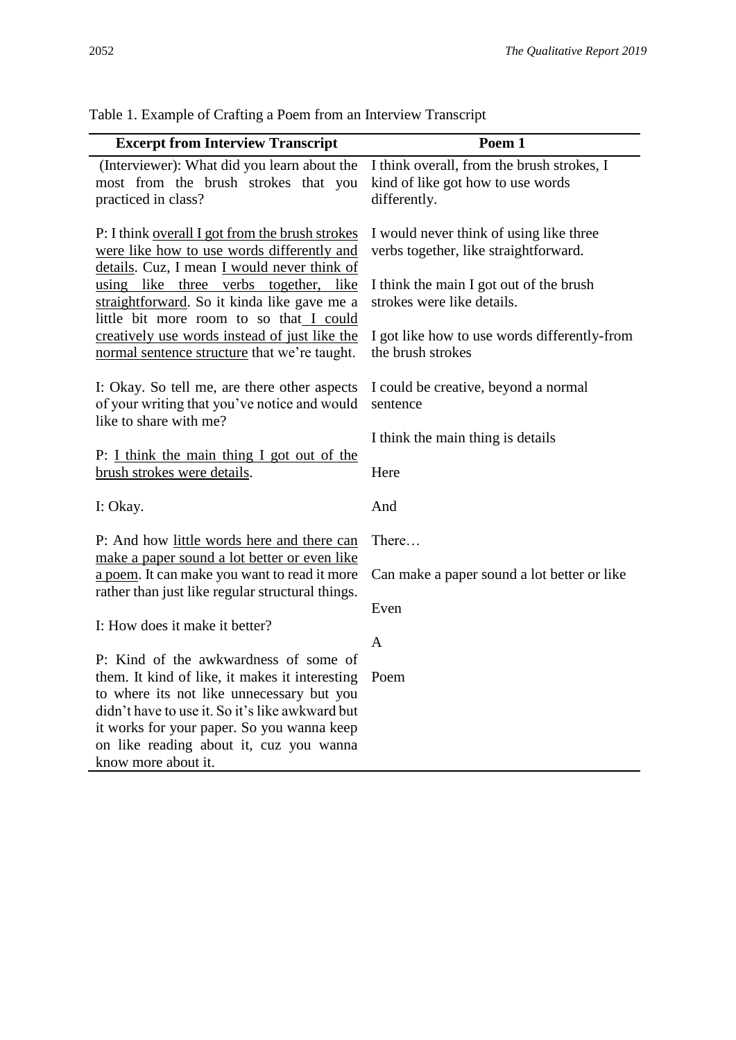| <b>Excerpt from Interview Transcript</b>                                                                                                                                              | Poem 1                                                                                                                      |
|---------------------------------------------------------------------------------------------------------------------------------------------------------------------------------------|-----------------------------------------------------------------------------------------------------------------------------|
| (Interviewer): What did you learn about the<br>most from the brush strokes that you<br>practiced in class?                                                                            | I think overall, from the brush strokes, I<br>kind of like got how to use words<br>differently.                             |
| P: I think overall I got from the brush strokes<br>were like how to use words differently and<br>details. Cuz, I mean I would never think of<br>using like three verbs together, like | I would never think of using like three<br>verbs together, like straightforward.<br>I think the main I got out of the brush |
| straightforward. So it kinda like gave me a<br>little bit more room to so that I could                                                                                                | strokes were like details.                                                                                                  |
| creatively use words instead of just like the<br>normal sentence structure that we're taught.                                                                                         | I got like how to use words differently-from<br>the brush strokes                                                           |
| I: Okay. So tell me, are there other aspects<br>of your writing that you've notice and would<br>like to share with me?                                                                | I could be creative, beyond a normal<br>sentence                                                                            |
|                                                                                                                                                                                       | I think the main thing is details                                                                                           |
| P: I think the main thing I got out of the<br>brush strokes were details.                                                                                                             | Here                                                                                                                        |
| I: Okay.                                                                                                                                                                              | And                                                                                                                         |
| P: And how little words here and there can<br>make a paper sound a lot better or even like                                                                                            | There                                                                                                                       |
| a poem. It can make you want to read it more<br>rather than just like regular structural things.                                                                                      | Can make a paper sound a lot better or like                                                                                 |
| I: How does it make it better?                                                                                                                                                        | Even                                                                                                                        |
|                                                                                                                                                                                       | A                                                                                                                           |
| P: Kind of the awkwardness of some of<br>them. It kind of like, it makes it interesting<br>to where its not like unnecessary but you                                                  | Poem                                                                                                                        |
| didn't have to use it. So it's like awkward but<br>it works for your paper. So you wanna keep<br>on like reading about it, cuz you wanna                                              |                                                                                                                             |
| know more about it.                                                                                                                                                                   |                                                                                                                             |

Table 1. Example of Crafting a Poem from an Interview Transcript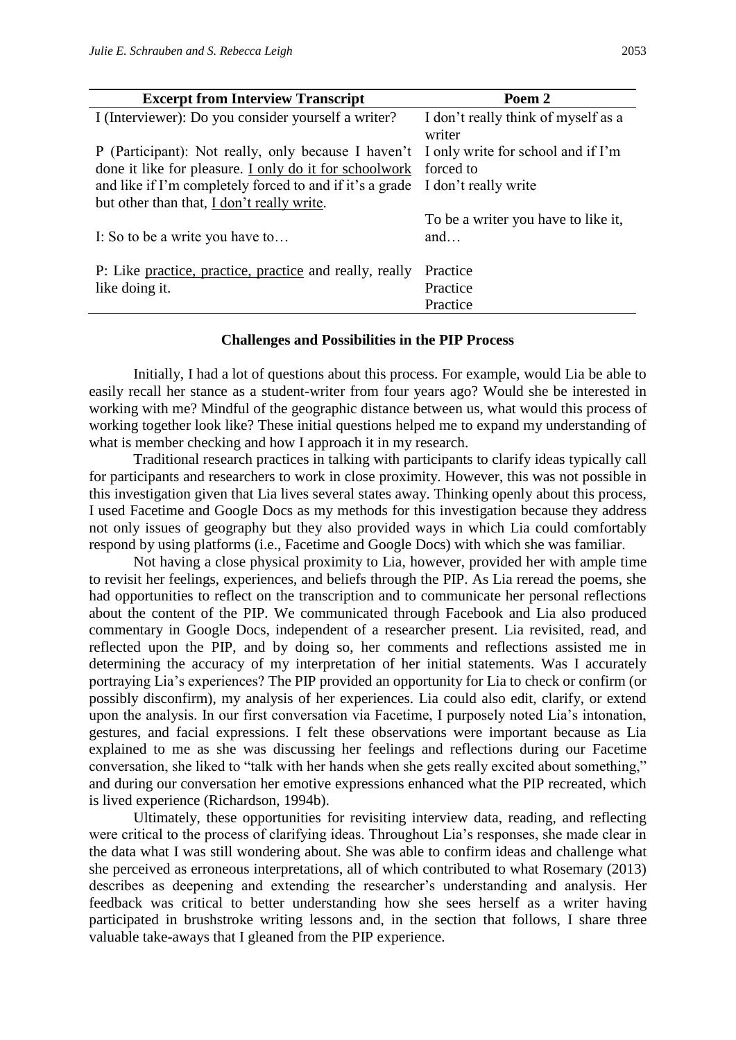| <b>Excerpt from Interview Transcript</b>                                               | Poem 2                                        |
|----------------------------------------------------------------------------------------|-----------------------------------------------|
| I (Interviewer): Do you consider yourself a writer?                                    | I don't really think of myself as a<br>writer |
| P (Participant): Not really, only because I haven't I only write for school and if I'm |                                               |
| done it like for pleasure. I only do it for schoolwork forced to                       |                                               |
| and like if I'm completely forced to and if it's a grade I don't really write          |                                               |
| but other than that, I don't really write.                                             |                                               |
| I: So to be a write you have to                                                        | To be a writer you have to like it,<br>and    |
| P: Like practice, practice, practice and really, really                                | Practice                                      |
| like doing it.                                                                         | Practice                                      |
|                                                                                        | Practice                                      |

#### **Challenges and Possibilities in the PIP Process**

Initially, I had a lot of questions about this process. For example, would Lia be able to easily recall her stance as a student-writer from four years ago? Would she be interested in working with me? Mindful of the geographic distance between us, what would this process of working together look like? These initial questions helped me to expand my understanding of what is member checking and how I approach it in my research.

Traditional research practices in talking with participants to clarify ideas typically call for participants and researchers to work in close proximity. However, this was not possible in this investigation given that Lia lives several states away. Thinking openly about this process, I used Facetime and Google Docs as my methods for this investigation because they address not only issues of geography but they also provided ways in which Lia could comfortably respond by using platforms (i.e., Facetime and Google Docs) with which she was familiar.

Not having a close physical proximity to Lia, however, provided her with ample time to revisit her feelings, experiences, and beliefs through the PIP. As Lia reread the poems, she had opportunities to reflect on the transcription and to communicate her personal reflections about the content of the PIP. We communicated through Facebook and Lia also produced commentary in Google Docs, independent of a researcher present. Lia revisited, read, and reflected upon the PIP, and by doing so, her comments and reflections assisted me in determining the accuracy of my interpretation of her initial statements. Was I accurately portraying Lia's experiences? The PIP provided an opportunity for Lia to check or confirm (or possibly disconfirm), my analysis of her experiences. Lia could also edit, clarify, or extend upon the analysis. In our first conversation via Facetime, I purposely noted Lia's intonation, gestures, and facial expressions. I felt these observations were important because as Lia explained to me as she was discussing her feelings and reflections during our Facetime conversation, she liked to "talk with her hands when she gets really excited about something," and during our conversation her emotive expressions enhanced what the PIP recreated, which is lived experience (Richardson, 1994b).

Ultimately, these opportunities for revisiting interview data, reading, and reflecting were critical to the process of clarifying ideas. Throughout Lia's responses, she made clear in the data what I was still wondering about. She was able to confirm ideas and challenge what she perceived as erroneous interpretations, all of which contributed to what Rosemary (2013) describes as deepening and extending the researcher's understanding and analysis. Her feedback was critical to better understanding how she sees herself as a writer having participated in brushstroke writing lessons and, in the section that follows, I share three valuable take-aways that I gleaned from the PIP experience.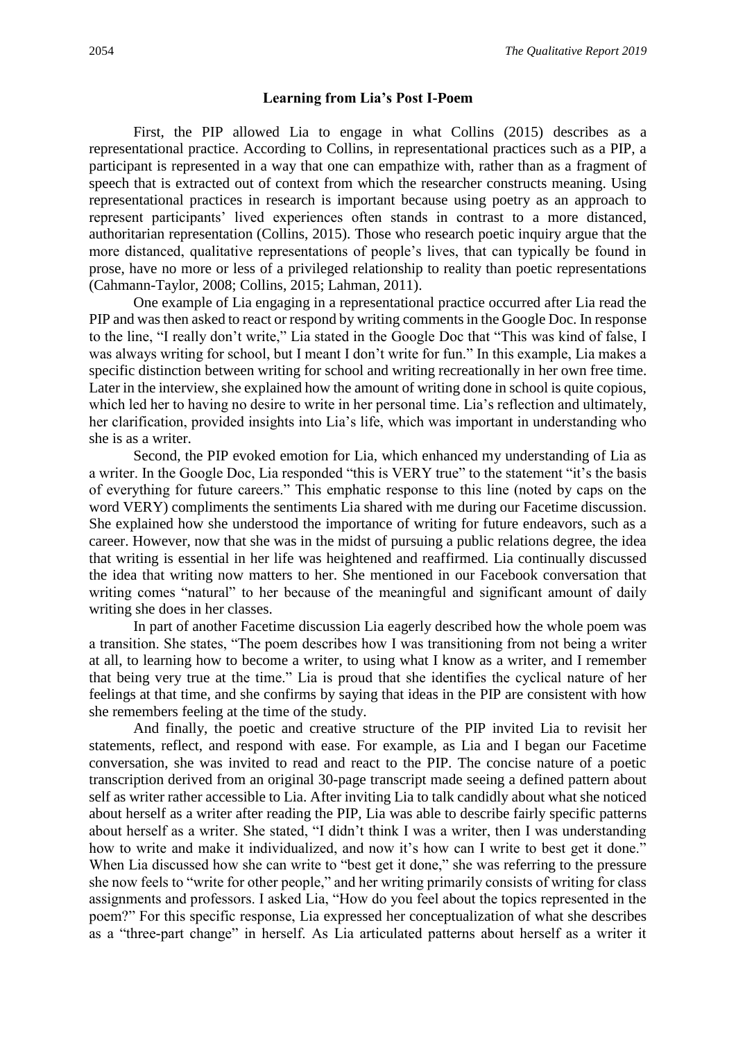#### **Learning from Lia's Post I-Poem**

First, the PIP allowed Lia to engage in what Collins (2015) describes as a representational practice. According to Collins, in representational practices such as a PIP, a participant is represented in a way that one can empathize with, rather than as a fragment of speech that is extracted out of context from which the researcher constructs meaning. Using representational practices in research is important because using poetry as an approach to represent participants' lived experiences often stands in contrast to a more distanced, authoritarian representation (Collins, 2015). Those who research poetic inquiry argue that the more distanced, qualitative representations of people's lives, that can typically be found in prose, have no more or less of a privileged relationship to reality than poetic representations (Cahmann-Taylor, 2008; Collins, 2015; Lahman, 2011).

One example of Lia engaging in a representational practice occurred after Lia read the PIP and was then asked to react or respond by writing comments in the Google Doc. In response to the line, "I really don't write," Lia stated in the Google Doc that "This was kind of false, I was always writing for school, but I meant I don't write for fun." In this example, Lia makes a specific distinction between writing for school and writing recreationally in her own free time. Later in the interview, she explained how the amount of writing done in school is quite copious, which led her to having no desire to write in her personal time. Lia's reflection and ultimately, her clarification, provided insights into Lia's life, which was important in understanding who she is as a writer.

Second, the PIP evoked emotion for Lia, which enhanced my understanding of Lia as a writer. In the Google Doc, Lia responded "this is VERY true" to the statement "it's the basis of everything for future careers." This emphatic response to this line (noted by caps on the word VERY) compliments the sentiments Lia shared with me during our Facetime discussion. She explained how she understood the importance of writing for future endeavors, such as a career. However, now that she was in the midst of pursuing a public relations degree, the idea that writing is essential in her life was heightened and reaffirmed. Lia continually discussed the idea that writing now matters to her. She mentioned in our Facebook conversation that writing comes "natural" to her because of the meaningful and significant amount of daily writing she does in her classes.

In part of another Facetime discussion Lia eagerly described how the whole poem was a transition. She states, "The poem describes how I was transitioning from not being a writer at all, to learning how to become a writer, to using what I know as a writer, and I remember that being very true at the time." Lia is proud that she identifies the cyclical nature of her feelings at that time, and she confirms by saying that ideas in the PIP are consistent with how she remembers feeling at the time of the study.

And finally, the poetic and creative structure of the PIP invited Lia to revisit her statements, reflect, and respond with ease. For example, as Lia and I began our Facetime conversation, she was invited to read and react to the PIP. The concise nature of a poetic transcription derived from an original 30-page transcript made seeing a defined pattern about self as writer rather accessible to Lia. After inviting Lia to talk candidly about what she noticed about herself as a writer after reading the PIP, Lia was able to describe fairly specific patterns about herself as a writer. She stated, "I didn't think I was a writer, then I was understanding how to write and make it individualized, and now it's how can I write to best get it done." When Lia discussed how she can write to "best get it done," she was referring to the pressure she now feels to "write for other people," and her writing primarily consists of writing for class assignments and professors. I asked Lia, "How do you feel about the topics represented in the poem?" For this specific response, Lia expressed her conceptualization of what she describes as a "three-part change" in herself. As Lia articulated patterns about herself as a writer it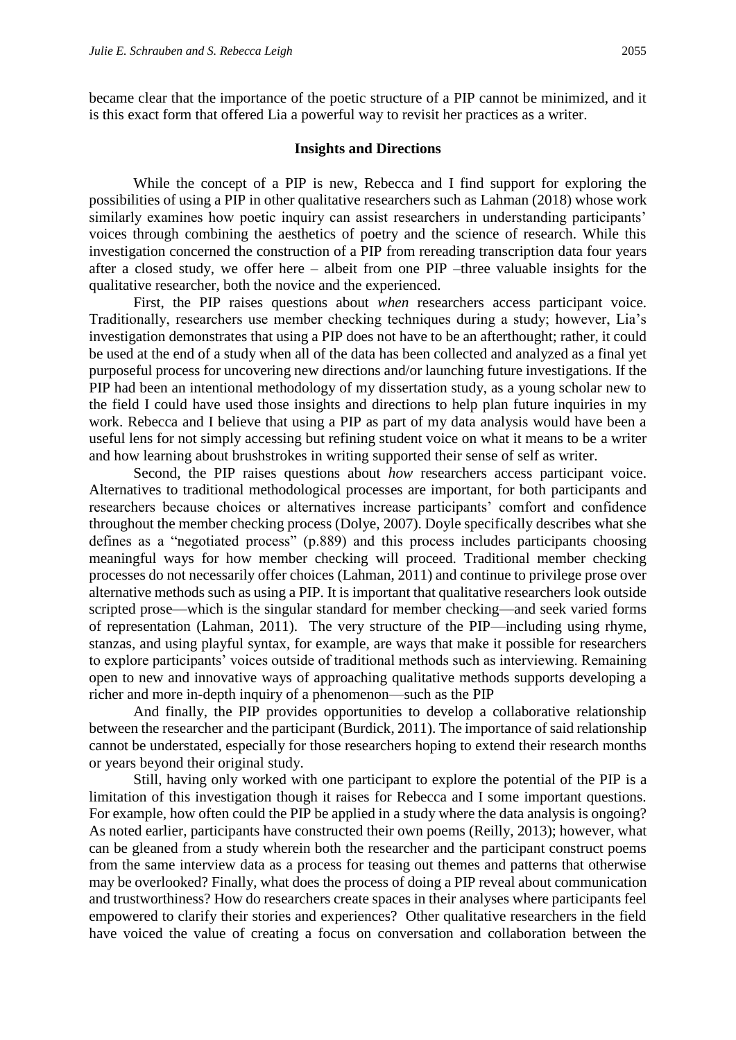became clear that the importance of the poetic structure of a PIP cannot be minimized, and it is this exact form that offered Lia a powerful way to revisit her practices as a writer.

### **Insights and Directions**

While the concept of a PIP is new, Rebecca and I find support for exploring the possibilities of using a PIP in other qualitative researchers such as Lahman (2018) whose work similarly examines how poetic inquiry can assist researchers in understanding participants' voices through combining the aesthetics of poetry and the science of research. While this investigation concerned the construction of a PIP from rereading transcription data four years after a closed study, we offer here – albeit from one PIP –three valuable insights for the qualitative researcher, both the novice and the experienced.

First, the PIP raises questions about *when* researchers access participant voice. Traditionally, researchers use member checking techniques during a study; however, Lia's investigation demonstrates that using a PIP does not have to be an afterthought; rather, it could be used at the end of a study when all of the data has been collected and analyzed as a final yet purposeful process for uncovering new directions and/or launching future investigations. If the PIP had been an intentional methodology of my dissertation study, as a young scholar new to the field I could have used those insights and directions to help plan future inquiries in my work. Rebecca and I believe that using a PIP as part of my data analysis would have been a useful lens for not simply accessing but refining student voice on what it means to be a writer and how learning about brushstrokes in writing supported their sense of self as writer.

Second, the PIP raises questions about *how* researchers access participant voice. Alternatives to traditional methodological processes are important, for both participants and researchers because choices or alternatives increase participants' comfort and confidence throughout the member checking process (Dolye, 2007). Doyle specifically describes what she defines as a "negotiated process" (p.889) and this process includes participants choosing meaningful ways for how member checking will proceed. Traditional member checking processes do not necessarily offer choices (Lahman, 2011) and continue to privilege prose over alternative methods such as using a PIP. It is important that qualitative researchers look outside scripted prose—which is the singular standard for member checking—and seek varied forms of representation (Lahman, 2011). The very structure of the PIP—including using rhyme, stanzas, and using playful syntax, for example, are ways that make it possible for researchers to explore participants' voices outside of traditional methods such as interviewing. Remaining open to new and innovative ways of approaching qualitative methods supports developing a richer and more in-depth inquiry of a phenomenon—such as the PIP

And finally, the PIP provides opportunities to develop a collaborative relationship between the researcher and the participant (Burdick, 2011). The importance of said relationship cannot be understated, especially for those researchers hoping to extend their research months or years beyond their original study.

Still, having only worked with one participant to explore the potential of the PIP is a limitation of this investigation though it raises for Rebecca and I some important questions. For example, how often could the PIP be applied in a study where the data analysis is ongoing? As noted earlier, participants have constructed their own poems (Reilly, 2013); however, what can be gleaned from a study wherein both the researcher and the participant construct poems from the same interview data as a process for teasing out themes and patterns that otherwise may be overlooked? Finally, what does the process of doing a PIP reveal about communication and trustworthiness? How do researchers create spaces in their analyses where participants feel empowered to clarify their stories and experiences? Other qualitative researchers in the field have voiced the value of creating a focus on conversation and collaboration between the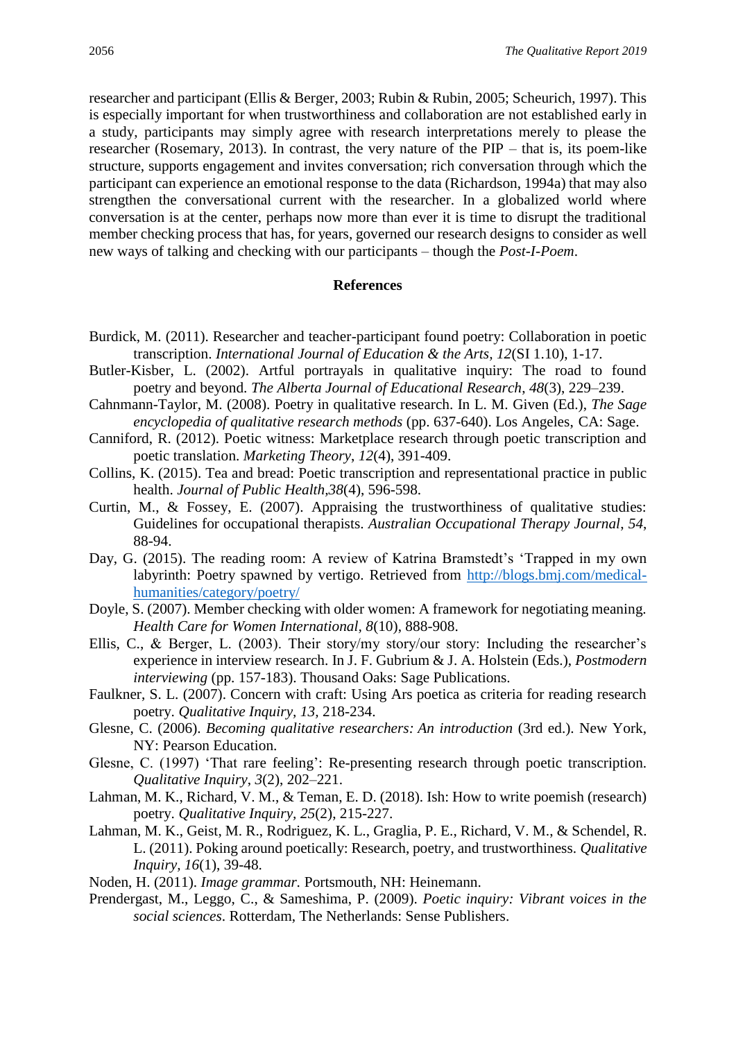researcher and participant (Ellis & Berger, 2003; Rubin & Rubin, 2005; Scheurich, 1997). This is especially important for when trustworthiness and collaboration are not established early in a study, participants may simply agree with research interpretations merely to please the researcher (Rosemary, 2013). In contrast, the very nature of the PIP – that is, its poem-like structure, supports engagement and invites conversation; rich conversation through which the participant can experience an emotional response to the data (Richardson, 1994a) that may also strengthen the conversational current with the researcher. In a globalized world where conversation is at the center, perhaps now more than ever it is time to disrupt the traditional member checking process that has, for years, governed our research designs to consider as well new ways of talking and checking with our participants – though the *Post-I-Poem*.

#### **References**

- Burdick, M. (2011). Researcher and teacher-participant found poetry: Collaboration in poetic transcription. *International Journal of Education & the Arts, 12*(SI 1.10), 1-17.
- Butler-Kisber, L. (2002). Artful portrayals in qualitative inquiry: The road to found poetry and beyond. *The Alberta Journal of Educational Research*, *48*(3), 229–239.
- Cahnmann-Taylor, M. (2008). Poetry in qualitative research. In L. M. Given (Ed.), *The Sage encyclopedia of qualitative research methods* (pp. 637-640). Los Angeles, CA: Sage.
- Canniford, R. (2012). Poetic witness: Marketplace research through poetic transcription and poetic translation. *Marketing Theory*, *12*(4), 391-409.
- Collins, K. (2015). Tea and bread: Poetic transcription and representational practice in public health. *Journal of Public Health,38*(4), 596-598.
- Curtin, M., & Fossey, E. (2007). Appraising the trustworthiness of qualitative studies: Guidelines for occupational therapists. *Australian Occupational Therapy Journal*, *54*, 88-94.
- Day, G. (2015). The reading room: A review of Katrina Bramstedt's 'Trapped in my own labyrinth: Poetry spawned by vertigo. Retrieved from [http://blogs.bmj.com/medical](http://blogs.bmj.com/medical-humanities/category/poetry/)[humanities/category/poetry/](http://blogs.bmj.com/medical-humanities/category/poetry/)
- Doyle, S. (2007). Member checking with older women: A framework for negotiating meaning. *Health Care for Women International, 8*(10), 888-908.
- Ellis, C., & Berger, L. (2003). Their story/my story/our story: Including the researcher's experience in interview research. In J. F. Gubrium & J. A. Holstein (Eds.), *Postmodern interviewing* (pp. 157-183). Thousand Oaks: Sage Publications.
- Faulkner, S. L. (2007). Concern with craft: Using Ars poetica as criteria for reading research poetry. *Qualitative Inquiry, 13,* 218-234.
- Glesne, C. (2006). *Becoming qualitative researchers: An introduction* (3rd ed.). New York, NY: Pearson Education.
- Glesne, C. (1997) 'That rare feeling': Re-presenting research through poetic transcription. *Qualitative Inquiry*, *3*(2), 202–221.
- Lahman, M. K., Richard, V. M., & Teman, E. D. (2018). Ish: How to write poemish (research) poetry. *Qualitative Inquiry, 25*(2), 215-227.
- Lahman, M. K., Geist, M. R., Rodriguez, K. L., Graglia, P. E., Richard, V. M., & Schendel, R. L. (2011). Poking around poetically: Research, poetry, and trustworthiness. *Qualitative Inquiry, 16*(1), 39-48.
- Noden, H. (2011). *Image grammar.* Portsmouth, NH: Heinemann.
- Prendergast, M., Leggo, C., & Sameshima, P. (2009). *Poetic inquiry: Vibrant voices in the social sciences*. Rotterdam, The Netherlands: Sense Publishers.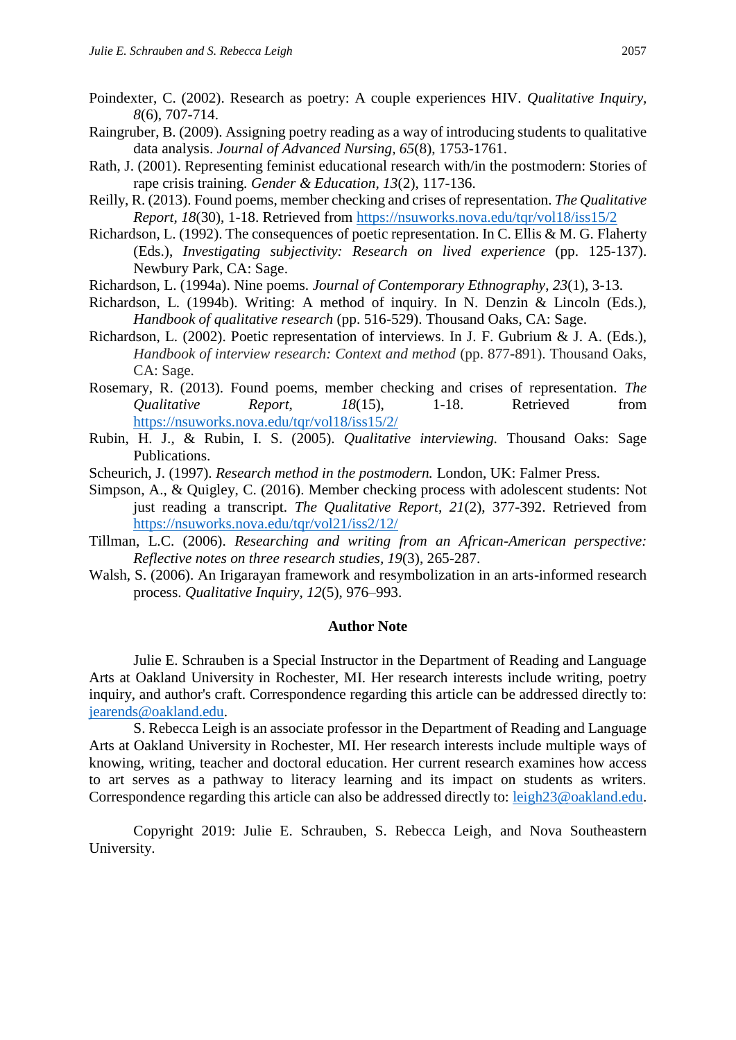- Poindexter, C. (2002). Research as poetry: A couple experiences HIV. *Qualitative Inquiry, 8*(6), 707-714.
- Raingruber, B. (2009). Assigning poetry reading as a way of introducing students to qualitative data analysis. *Journal of Advanced Nursing, 65*(8), 1753-1761.
- Rath, J. (2001). Representing feminist educational research with/in the postmodern: Stories of rape crisis training. *Gender & Education, 13*(2), 117-136.
- Reilly, R. (2013). Found poems, member checking and crises of representation. *The Qualitative Report, 18*(30), 1-18. Retrieved from<https://nsuworks.nova.edu/tqr/vol18/iss15/2>
- Richardson, L. (1992). The consequences of poetic representation. In C. Ellis & M. G. Flaherty (Eds.), *Investigating subjectivity: Research on lived experience* (pp. 125-137). Newbury Park, CA: Sage.
- Richardson, L. (1994a). Nine poems. *Journal of Contemporary Ethnography*, *23*(1), 3-13.
- Richardson, L. (1994b). Writing: A method of inquiry. In N. Denzin & Lincoln (Eds.), *Handbook of qualitative research* (pp. 516-529). Thousand Oaks, CA: Sage.
- Richardson, L. (2002). Poetic representation of interviews. In J. F. Gubrium & J. A. (Eds.), *Handbook of interview research: Context and method* (pp. 877-891). Thousand Oaks, CA: Sage.
- Rosemary, R. (2013). Found poems, member checking and crises of representation. *The Qualitative Report, 18*(15), 1-18. Retrieved from <https://nsuworks.nova.edu/tqr/vol18/iss15/2/>
- Rubin, H. J., & Rubin, I. S. (2005). *Qualitative interviewing.* Thousand Oaks: Sage Publications.
- Scheurich, J. (1997). *Research method in the postmodern.* London, UK: Falmer Press.
- Simpson, A., & Quigley, C. (2016). Member checking process with adolescent students: Not just reading a transcript. *The Qualitative Report, 21*(2), 377-392. Retrieved from <https://nsuworks.nova.edu/tqr/vol21/iss2/12/>
- Tillman, L.C. (2006). *Researching and writing from an African-American perspective: Reflective notes on three research studies, 19*(3), 265-287.
- Walsh, S. (2006). An Irigarayan framework and resymbolization in an arts-informed research process. *Qualitative Inquiry, 12*(5), 976–993.

#### **Author Note**

Julie E. Schrauben is a Special Instructor in the Department of Reading and Language Arts at Oakland University in Rochester, MI. Her research interests include writing, poetry inquiry, and author's craft. Correspondence regarding this article can be addressed directly to: [jearends@oakland.edu.](mailto:jearends@oakland.edu)

S. Rebecca Leigh is an associate professor in the Department of Reading and Language Arts at Oakland University in Rochester, MI. Her research interests include multiple ways of knowing, writing, teacher and doctoral education. Her current research examines how access to art serves as a pathway to literacy learning and its impact on students as writers. Correspondence regarding this article can also be addressed directly to: [leigh23@oakland.edu.](mailto:leigh23@oakland.edu)

Copyright 2019: Julie E. Schrauben, S. Rebecca Leigh, and Nova Southeastern University.